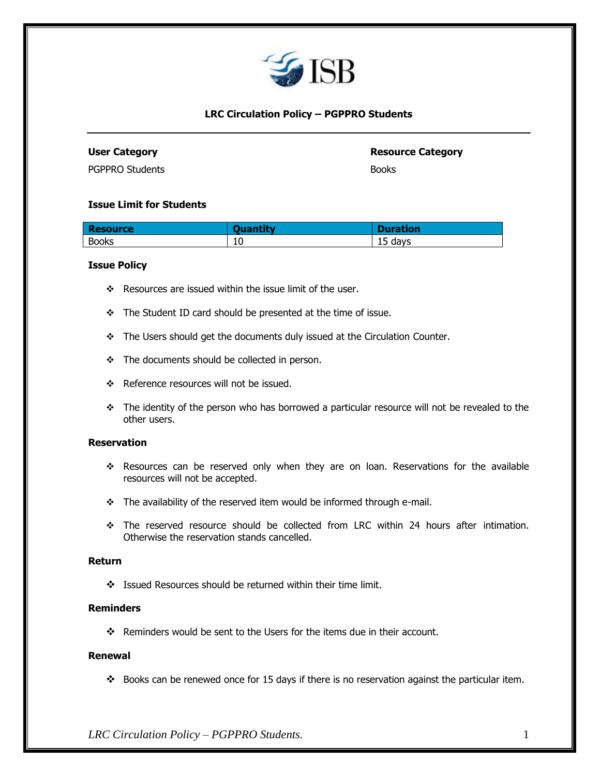

# **LRC Circulation Policy – [PGPPRO](http://www.isb.edu/pgppro) Students**

## **User Category Resource Category**

[PGPPRO](http://www.isb.edu/pgppro) Students Books

### **Issue Limit for Students**

| <b>Resource</b> | <b>The Second Second</b> | <b>Duration</b> |
|-----------------|--------------------------|-----------------|
| <b>Books</b>    | 10                       | days<br><br>∸   |

## **Issue Policy**

- ❖ Resources are issued within the issue limit of the user.
- ❖ The Student ID card should be presented at the time of issue.
- ❖ The Users should get the documents duly issued at the Circulation Counter.
- ❖ The documents should be collected in person.
- ❖ Reference resources will not be issued.
- ❖ The identity of the person who has borrowed a particular resource will not be revealed to the other users.

## **Reservation**

- ❖ Resources can be reserved only when they are on loan. Reservations for the available resources will not be accepted.
- ❖ The availability of the reserved item would be informed through e-mail.
- ❖ The reserved resource should be collected from LRC within 24 hours after intimation. Otherwise the reservation stands cancelled.

### **Return**

❖ Issued Resources should be returned within their time limit.

# **Reminders**

❖ Reminders would be sent to the Users for the items due in their account.

### **Renewal**

❖ Books can be renewed once for 15 days if there is no reservation against the particular item.

*LRC Circulation Policy – [PGPPRO](http://www.isb.edu/pgppro) Students.* 1